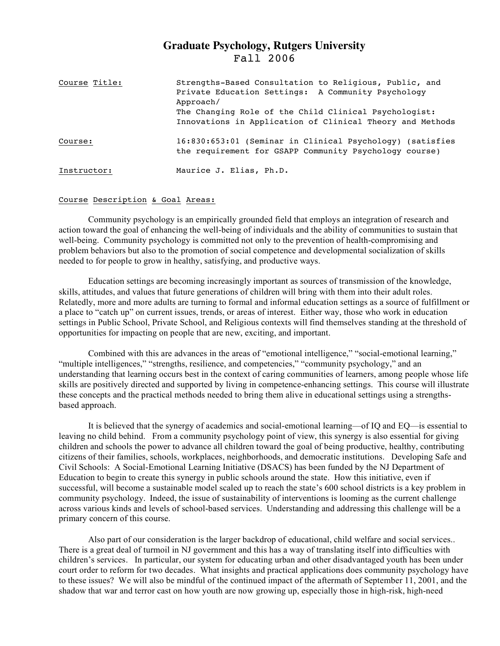# **Graduate Psychology, Rutgers University** Fall 2006

| Course Title: | Strengths-Based Consultation to Religious, Public, and<br>Private Education Settings: A Community Psychology<br>Approach/<br>The Changing Role of the Child Clinical Psychologist:<br>Innovations in Application of Clinical Theory and Methods |
|---------------|-------------------------------------------------------------------------------------------------------------------------------------------------------------------------------------------------------------------------------------------------|
| Course:       | 16:830:653:01 (Seminar in Clinical Psychology) (satisfies<br>the requirement for GSAPP Community Psychology course)                                                                                                                             |
| Instructor:   | Maurice J. Elias, Ph.D.                                                                                                                                                                                                                         |

### Course Description & Goal Areas:

Community psychology is an empirically grounded field that employs an integration of research and action toward the goal of enhancing the well-being of individuals and the ability of communities to sustain that well-being. Community psychology is committed not only to the prevention of health-compromising and problem behaviors but also to the promotion of social competence and developmental socialization of skills needed to for people to grow in healthy, satisfying, and productive ways.

Education settings are becoming increasingly important as sources of transmission of the knowledge, skills, attitudes, and values that future generations of children will bring with them into their adult roles. Relatedly, more and more adults are turning to formal and informal education settings as a source of fulfillment or a place to "catch up" on current issues, trends, or areas of interest. Either way, those who work in education settings in Public School, Private School, and Religious contexts will find themselves standing at the threshold of opportunities for impacting on people that are new, exciting, and important.

Combined with this are advances in the areas of "emotional intelligence," "social-emotional learning," "multiple intelligences," "strengths, resilience, and competencies," "community psychology," and an understanding that learning occurs best in the context of caring communities of learners, among people whose life skills are positively directed and supported by living in competence-enhancing settings. This course will illustrate these concepts and the practical methods needed to bring them alive in educational settings using a strengthsbased approach.

It is believed that the synergy of academics and social-emotional learning—of IQ and EQ—is essential to leaving no child behind. From a community psychology point of view, this synergy is also essential for giving children and schools the power to advance all children toward the goal of being productive, healthy, contributing citizens of their families, schools, workplaces, neighborhoods, and democratic institutions. Developing Safe and Civil Schools: A Social-Emotional Learning Initiative (DSACS) has been funded by the NJ Department of Education to begin to create this synergy in public schools around the state. How this initiative, even if successful, will become a sustainable model scaled up to reach the state's 600 school districts is a key problem in community psychology. Indeed, the issue of sustainability of interventions is looming as the current challenge across various kinds and levels of school-based services. Understanding and addressing this challenge will be a primary concern of this course.

Also part of our consideration is the larger backdrop of educational, child welfare and social services.. There is a great deal of turmoil in NJ government and this has a way of translating itself into difficulties with children's services. In particular, our system for educating urban and other disadvantaged youth has been under court order to reform for two decades. What insights and practical applications does community psychology have to these issues? We will also be mindful of the continued impact of the aftermath of September 11, 2001, and the shadow that war and terror cast on how youth are now growing up, especially those in high-risk, high-need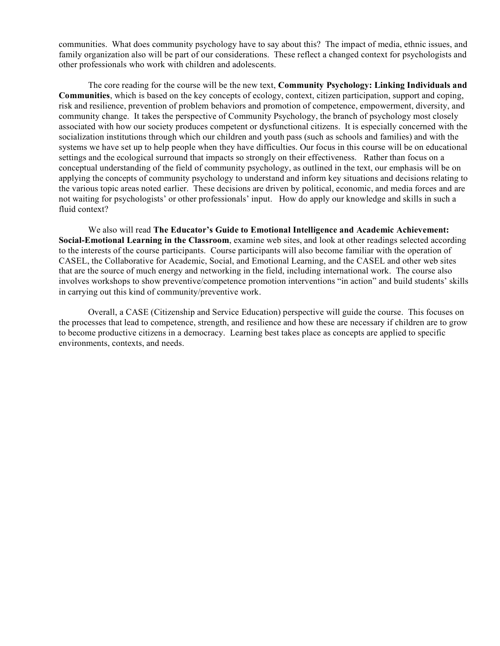communities. What does community psychology have to say about this? The impact of media, ethnic issues, and family organization also will be part of our considerations. These reflect a changed context for psychologists and other professionals who work with children and adolescents.

The core reading for the course will be the new text, **Community Psychology: Linking Individuals and Communities**, which is based on the key concepts of ecology, context, citizen participation, support and coping, risk and resilience, prevention of problem behaviors and promotion of competence, empowerment, diversity, and community change. It takes the perspective of Community Psychology, the branch of psychology most closely associated with how our society produces competent or dysfunctional citizens. It is especially concerned with the socialization institutions through which our children and youth pass (such as schools and families) and with the systems we have set up to help people when they have difficulties. Our focus in this course will be on educational settings and the ecological surround that impacts so strongly on their effectiveness. Rather than focus on a conceptual understanding of the field of community psychology, as outlined in the text, our emphasis will be on applying the concepts of community psychology to understand and inform key situations and decisions relating to the various topic areas noted earlier. These decisions are driven by political, economic, and media forces and are not waiting for psychologists' or other professionals' input. How do apply our knowledge and skills in such a fluid context?

We also will read **The Educator's Guide to Emotional Intelligence and Academic Achievement: Social-Emotional Learning in the Classroom**, examine web sites, and look at other readings selected according to the interests of the course participants. Course participants will also become familiar with the operation of CASEL, the Collaborative for Academic, Social, and Emotional Learning, and the CASEL and other web sites that are the source of much energy and networking in the field, including international work. The course also involves workshops to show preventive/competence promotion interventions "in action" and build students' skills in carrying out this kind of community/preventive work.

Overall, a CASE (Citizenship and Service Education) perspective will guide the course. This focuses on the processes that lead to competence, strength, and resilience and how these are necessary if children are to grow to become productive citizens in a democracy. Learning best takes place as concepts are applied to specific environments, contexts, and needs.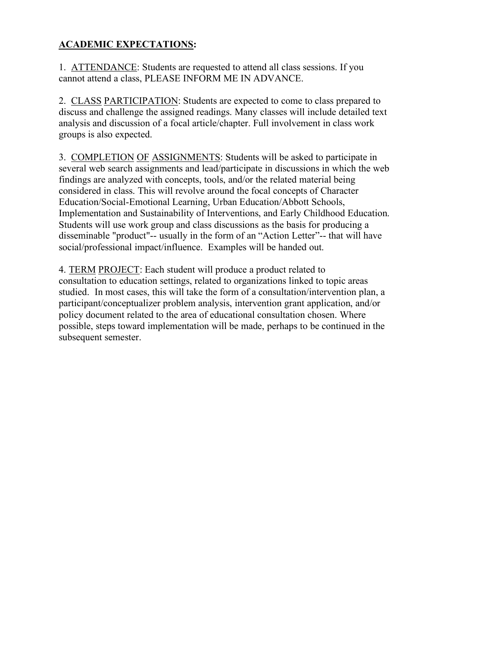## **ACADEMIC EXPECTATIONS:**

1. ATTENDANCE: Students are requested to attend all class sessions. If you cannot attend a class, PLEASE INFORM ME IN ADVANCE.

2. CLASS PARTICIPATION: Students are expected to come to class prepared to discuss and challenge the assigned readings. Many classes will include detailed text analysis and discussion of a focal article/chapter. Full involvement in class work groups is also expected.

3. COMPLETION OF ASSIGNMENTS: Students will be asked to participate in several web search assignments and lead/participate in discussions in which the web findings are analyzed with concepts, tools, and/or the related material being considered in class. This will revolve around the focal concepts of Character Education/Social-Emotional Learning, Urban Education/Abbott Schools, Implementation and Sustainability of Interventions, and Early Childhood Education. Students will use work group and class discussions as the basis for producing a disseminable "product"-- usually in the form of an "Action Letter"-- that will have social/professional impact/influence. Examples will be handed out.

4. TERM PROJECT: Each student will produce a product related to consultation to education settings, related to organizations linked to topic areas studied. In most cases, this will take the form of a consultation/intervention plan, a participant/conceptualizer problem analysis, intervention grant application, and/or policy document related to the area of educational consultation chosen. Where possible, steps toward implementation will be made, perhaps to be continued in the subsequent semester.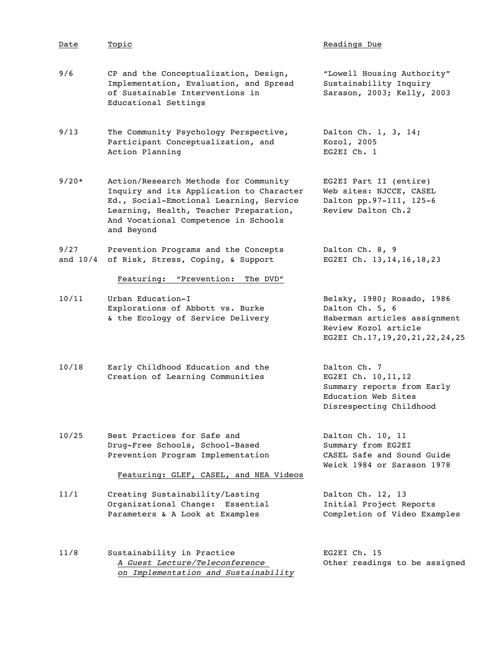| Date               | Topic                                                                                                                                                                                                                        | Readings Due                                                                                                                                 |
|--------------------|------------------------------------------------------------------------------------------------------------------------------------------------------------------------------------------------------------------------------|----------------------------------------------------------------------------------------------------------------------------------------------|
| 9/6                | CP and the Conceptualization, Design,<br>Implementation, Evaluation, and Spread<br>of Sustainable Interventions in<br>Educational Settings                                                                                   | "Lowell Housing Authority"<br>Sustainability Inquiry<br>Sarason, 2003; Kelly, 2003                                                           |
| 9/13               | The Community Psychology Perspective,<br>Participant Conceptualization, and<br>Action Planning                                                                                                                               | Dalton Ch. 1, 3, 14;<br>Kozol, 2005<br>EG2EI Ch. 1                                                                                           |
| $9/20*$            | Action/Research Methods for Community<br>Inquiry and its Application to Character<br>Ed., Social-Emotional Learning, Service<br>Learning, Health, Teacher Preparation,<br>And Vocational Competence in Schools<br>and Beyond | EG2EI Part II (entire)<br>Web sites: NJCCE, CASEL<br>Dalton pp.97-111, 125-6<br>Review Dalton Ch.2                                           |
| 9/27<br>and $10/4$ | Prevention Programs and the Concepts<br>of Risk, Stress, Coping, & Support                                                                                                                                                   | Dalton Ch. 8, 9<br>EG2EI Ch. 13, 14, 16, 18, 23                                                                                              |
|                    | Featuring:<br>"Prevention:<br>The DVD"                                                                                                                                                                                       |                                                                                                                                              |
| 10/11              | Urban Education-I<br>Explorations of Abbott vs. Burke<br>& the Ecology of Service Delivery                                                                                                                                   | Belsky, 1980; Rosado, 1986<br>Dalton Ch. 5, 6<br>Haberman articles assignment<br>Review Kozol article<br>EG2EI Ch.17, 19, 20, 21, 22, 24, 25 |
| 10/18              | Early Childhood Education and the<br>Creation of Learning Communities                                                                                                                                                        | Dalton Ch. 7<br>EG2EI Ch. 10, 11, 12<br>Summary reports from Early<br>Education Web Sites<br>Disrespecting Childhood                         |
| 10/25              | Best Practices for Safe and<br>Drug-Free Schools, School-Based<br>Prevention Program Implementation                                                                                                                          | Dalton Ch. 10, 11<br>Summary from EG2EI<br>CASEL Safe and Sound Guide<br>Weick 1984 or Sarason 1978                                          |
|                    | Featuring: GLEF, CASEL, and NEA Videos                                                                                                                                                                                       |                                                                                                                                              |
| 11/1               | Creating Sustainability/Lasting<br>Organizational Change:<br>Essential<br>Parameters & A Look at Examples                                                                                                                    | Dalton Ch. 12, 13<br>Initial Project Reports<br>Completion of Video Examples                                                                 |
| 11/8               | Sustainability in Practice<br>A Guest Lecture/Teleconference<br>on Implementation and Sustainability                                                                                                                         | EG2EI Ch. 15<br>Other readings to be assigned                                                                                                |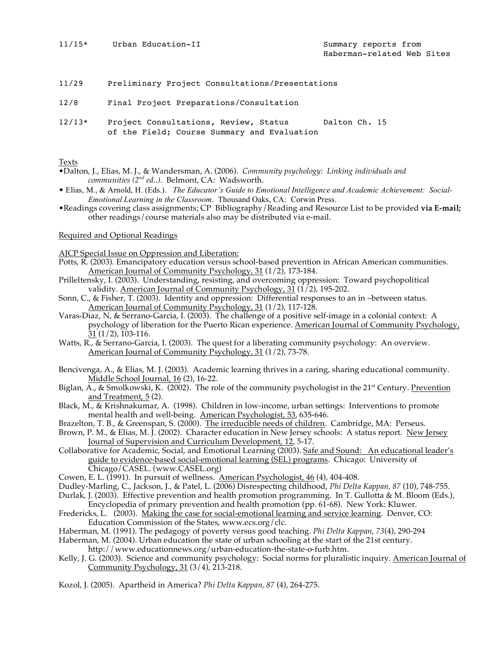- 11/29 Preliminary Project Consultations/Presentations
- 12/8 Final Project Preparations/Consultation
- 12/13\* Project Consultations, Review, Status Dalton Ch. 15 of the Field; Course Summary and Evaluation

#### Texts

- •Dalton, J., Elias, M. J., & Wandersman, A. (2006). *Community psychology: Linking individuals and communities (2nd ed..).* Belmont, CA: Wadsworth.
- Elias, M., & Arnold, H. (Eds.). *The Educator's Guide to Emotional Intelligence and Academic Achievement: Social-Emotional Learning in the Classroom*. Thousand Oaks, CA: Corwin Press.
- •Readings covering class assignments; CP Bibliography/Reading and Resource List to be provided **via E-mail;** other readings/course materials also may be distributed via e-mail.

### Required and Optional Readings

AJCP Special Issue on Oppression and Liberation:

- Potts, R. (2003). Emancipatory education versus school-based prevention in African American communities. American Journal of Community Psychology, 31 (1/2), 173-184.
- Prilleltensky, I. (2003). Understanding, resisting, and overcoming oppression: Toward psychopolitical validity. <u>American Journal of Community Psychology, 31</u> ( $1/2$ ), 195-202.
- Sonn, C., & Fisher, T. (2003). Identity and oppression: Differential responses to an in –between status. American Journal of Community Psychology, 31 (1/2), 117-128.
- Varas-Diaz, N, & Serrano-Garcia, I. (2003). The challenge of a positive self-image in a colonial context: A psychology of liberation for the Puerto Rican experience. American Journal of Community Psychology, 31 (1/2), 103-116.
- Watts, R., & Serrano-Garcia, I. (2003). The quest for a liberating community psychology: An overview. American Journal of Community Psychology, 31 (1/2), 73-78.
- Bencivenga, A., & Elias, M. J. (2003). Academic learning thrives in a caring, sharing educational community. Middle School Journal, 16 (2), 16-22.
- Biglan, A., & Smolkowski, K. (2002). The role of the community psychologist in the  $21<sup>st</sup>$  Century. Prevention and Treatment, 5(2).
- Black, M., & Krishnakumar, A. (1998). Children in low-income, urban settings: Interventions to promote mental health and well-being. American Psychologist, 53, 635-646.
- Brazelton, T. B., & Greenspan, S. (2000). The irreducible needs of children. Cambridge, MA: Perseus.
- Brown, P. M., & Elias, M. J. (2002). Character education in New Jersey schools: A status report. New Jersey Journal of Supervision and Curriculum Development, 12, 5-17.
- Collaborative for Academic, Social, and Emotional Learning (2003). Safe and Sound: An educational leader's guide to evidence-based social-emotional learning (SEL) programs. Chicago: University of Chicago/CASEL. (www.CASEL.org)
- Cowen, E. L. (1991). In pursuit of wellness. American Psychologist, 46 (4), 404-408.
- Dudley-Marling, C., Jackson, J., & Patel, L. (2006) Disrespecting childhood, *Phi Delta Kappan, 87* (10), 748-755.
- Durlak, J. (2003). Effective prevention and health promotion programming. In T. Gullotta & M. Bloom (Eds.),
- Encyclopedia of primary prevention and health promotion (pp. 61-68). New York: Kluwer. Fredericks, L. (2003). Making the case for social-emotional learning and service learning. Denver, CO:
- Education Commission of the States, www.ecs.org/clc.
- Haberman, M. (1991). The pedagogy of poverty versus good teaching. *Phi Delta Kappan*, *73*(4), 290-294
- Haberman, M. (2004). Urban education the state of urban schooling at the start of the 21st century. http://www.educationnews.org/urban-education-the-state-o-furb.htm.
- Kelly, J. G. (2003). Science and community psychology: Social norms for pluralistic inquiry. American Journal of Community Psychology, 31 (3/4), 213-218.
- Kozol, J. (2005). Apartheid in America? *Phi Delta Kappan, 87* (4), 264-275.